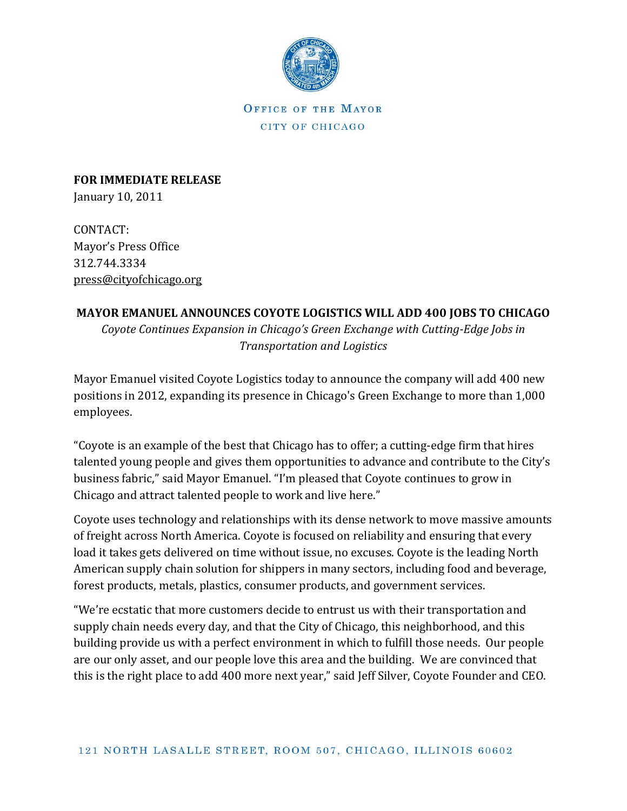

OFFICE OF THE MAYOR CITY OF CHICAGO

**FOR IMMEDIATE RELEASE** January 10, 2011

CONTACT: Mayor's Press Office 312.744.3334 [press@cityofchicago.org](mailto:press@cityofchicago.org)

## **MAYOR EMANUEL ANNOUNCES COYOTE LOGISTICS WILL ADD 400 JOBS TO CHICAGO**

*Coyote Continues Expansion in Chicago's Green Exchange with Cutting-Edge Jobs in Transportation and Logistics*

Mayor Emanuel visited Coyote Logistics today to announce the company will add 400 new positions in 2012, expanding its presence in Chicago's Green Exchange to more than 1,000 employees.

"Coyote is an example of the best that Chicago has to offer; a cutting-edge firm that hires talented young people and gives them opportunities to advance and contribute to the City's business fabric," said Mayor Emanuel. "I'm pleased that Coyote continues to grow in Chicago and attract talented people to work and live here."

Coyote uses technology and relationships with its dense network to move massive amounts of freight across North America. Coyote is focused on reliability and ensuring that every load it takes gets delivered on time without issue, no excuses. Coyote is the leading North American supply chain solution for shippers in many sectors, including food and beverage, forest products, metals, plastics, consumer products, and government services.

"We're ecstatic that more customers decide to entrust us with their transportation and supply chain needs every day, and that the City of Chicago, this neighborhood, and this building provide us with a perfect environment in which to fulfill those needs. Our people are our only asset, and our people love this area and the building. We are convinced that this is the right place to add 400 more next year," said Jeff Silver, Coyote Founder and CEO.